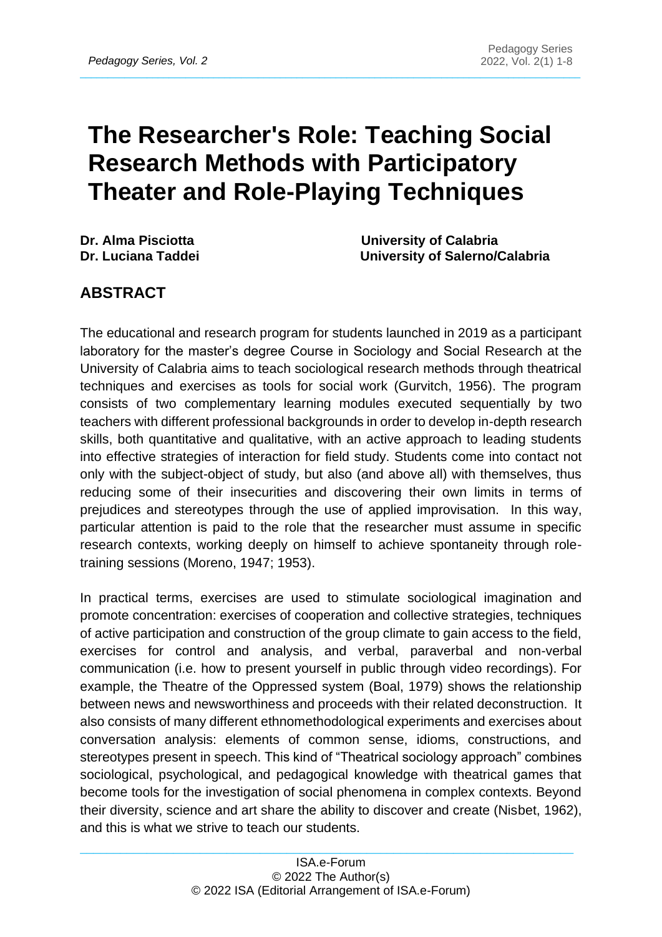# **The Researcher's Role: Teaching Social Research Methods with Participatory Theater and Role-Playing Techniques**

 $\_$  , and the set of the set of the set of the set of the set of the set of the set of the set of the set of the set of the set of the set of the set of the set of the set of the set of the set of the set of the set of th

**Dr. Alma Pisciotta University of Calabria Dr. Luciana Taddei University of Salerno/Calabria** 

# **ABSTRACT**

The educational and research program for students launched in 2019 as a participant laboratory for the master's degree Course in Sociology and Social Research at the University of Calabria aims to teach sociological research methods through theatrical techniques and exercises as tools for social work (Gurvitch, 1956). The program consists of two complementary learning modules executed sequentially by two teachers with different professional backgrounds in order to develop in-depth research skills, both quantitative and qualitative, with an active approach to leading students into effective strategies of interaction for field study. Students come into contact not only with the subject-object of study, but also (and above all) with themselves, thus reducing some of their insecurities and discovering their own limits in terms of prejudices and stereotypes through the use of applied improvisation. In this way, particular attention is paid to the role that the researcher must assume in specific research contexts, working deeply on himself to achieve spontaneity through roletraining sessions (Moreno, 1947; 1953).

In practical terms, exercises are used to stimulate sociological imagination and promote concentration: exercises of cooperation and collective strategies, techniques of active participation and construction of the group climate to gain access to the field, exercises for control and analysis, and verbal, paraverbal and non-verbal communication (i.e. how to present yourself in public through video recordings). For example, the Theatre of the Oppressed system (Boal, 1979) shows the relationship between news and newsworthiness and proceeds with their related deconstruction. It also consists of many different ethnomethodological experiments and exercises about conversation analysis: elements of common sense, idioms, constructions, and stereotypes present in speech. This kind of "Theatrical sociology approach" combines sociological, psychological, and pedagogical knowledge with theatrical games that become tools for the investigation of social phenomena in complex contexts. Beyond their diversity, science and art share the ability to discover and create (Nisbet, 1962), and this is what we strive to teach our students.

 $\_$  , and the set of the set of the set of the set of the set of the set of the set of the set of the set of the set of the set of the set of the set of the set of the set of the set of the set of the set of the set of th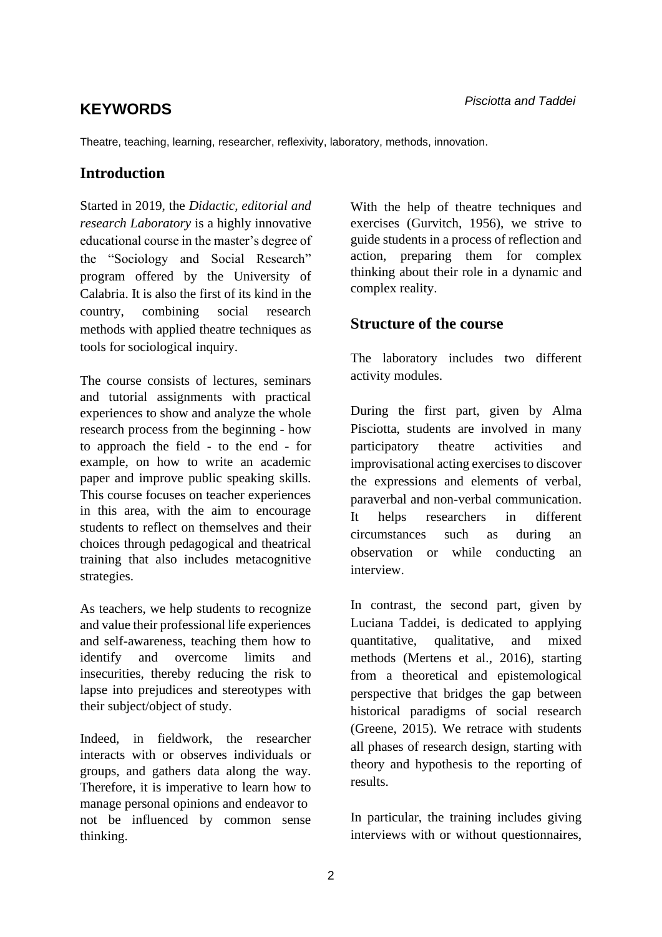# *Pisciotta and Taddei* **KEYWORDS**

Theatre, teaching, learning, researcher, reflexivity, laboratory, methods, innovation.

### **Introduction**

Started in 2019, the *Didactic, editorial and research Laboratory* is a highly innovative educational course in the master's degree of the "Sociology and Social Research" program offered by the University of Calabria. It is also the first of its kind in the country, combining social research methods with applied theatre techniques as tools for sociological inquiry.

The course consists of lectures, seminars and tutorial assignments with practical experiences to show and analyze the whole research process from the beginning - how to approach the field - to the end - for example, on how to write an academic paper and improve public speaking skills. This course focuses on teacher experiences in this area, with the aim to encourage students to reflect on themselves and their choices through pedagogical and theatrical training that also includes metacognitive strategies.

As teachers, we help students to recognize and value their professional life experiences and self-awareness, teaching them how to identify and overcome limits and insecurities, thereby reducing the risk to lapse into prejudices and stereotypes with their subject/object of study.

Indeed, in fieldwork, the researcher interacts with or observes individuals or groups, and gathers data along the way. Therefore, it is imperative to learn how to manage personal opinions and endeavor to not be influenced by common sense thinking.

With the help of theatre techniques and exercises (Gurvitch, 1956), we strive to guide students in a process of reflection and action, preparing them for complex thinking about their role in a dynamic and complex reality.

#### **Structure of the course**

The laboratory includes two different activity modules.

During the first part, given by Alma Pisciotta, students are involved in many participatory theatre activities and improvisational acting exercises to discover the expressions and elements of verbal, paraverbal and non-verbal communication. It helps researchers in different circumstances such as during an observation or while conducting an interview.

In contrast, the second part, given by Luciana Taddei, is dedicated to applying quantitative, qualitative, and mixed methods (Mertens et al., 2016), starting from a theoretical and epistemological perspective that bridges the gap between historical paradigms of social research (Greene, 2015). We retrace with students all phases of research design, starting with theory and hypothesis to the reporting of results.

In particular, the training includes giving interviews with or without questionnaires,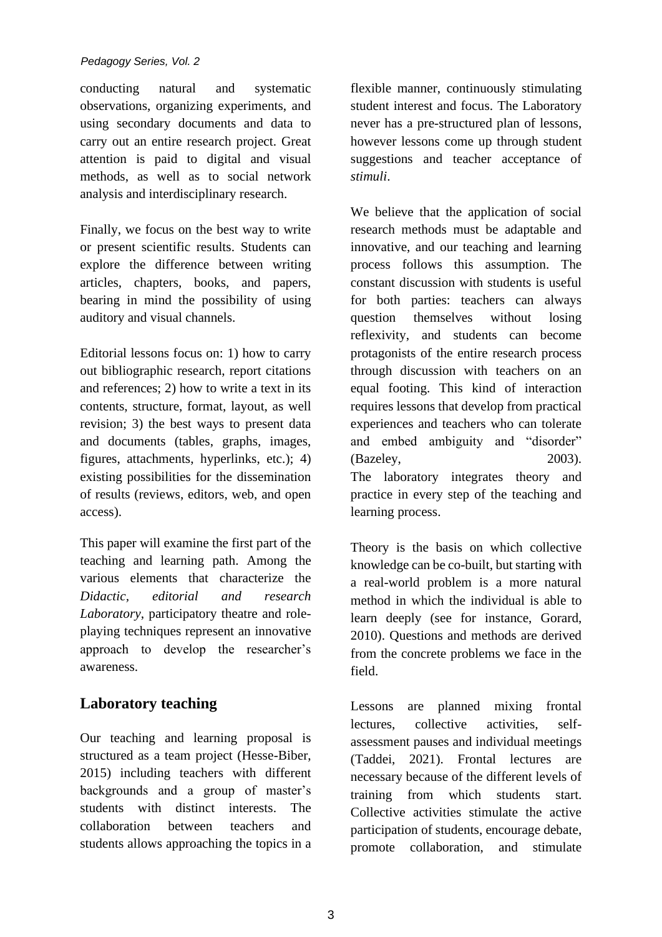#### *Pedagogy Series, Vol. 2*

conducting natural and systematic observations, organizing experiments, and using secondary documents and data to carry out an entire research project. Great attention is paid to digital and visual methods, as well as to social network analysis and interdisciplinary research.

Finally, we focus on the best way to write or present scientific results. Students can explore the difference between writing articles, chapters, books, and papers, bearing in mind the possibility of using auditory and visual channels.

Editorial lessons focus on: 1) how to carry out bibliographic research, report citations and references; 2) how to write a text in its contents, structure, format, layout, as well revision; 3) the best ways to present data and documents (tables, graphs, images, figures, attachments, hyperlinks, etc.); 4) existing possibilities for the dissemination of results (reviews, editors, web, and open access).

This paper will examine the first part of the teaching and learning path. Among the various elements that characterize the *Didactic, editorial and research Laboratory*, participatory theatre and roleplaying techniques represent an innovative approach to develop the researcher's awareness.

#### **Laboratory teaching**

Our teaching and learning proposal is structured as a team project (Hesse-Biber, 2015) including teachers with different backgrounds and a group of master's students with distinct interests. The collaboration between teachers and students allows approaching the topics in a flexible manner, continuously stimulating student interest and focus. The Laboratory never has a pre-structured plan of lessons, however lessons come up through student suggestions and teacher acceptance of *stimuli*.

We believe that the application of social research methods must be adaptable and innovative, and our teaching and learning process follows this assumption. The constant discussion with students is useful for both parties: teachers can always question themselves without losing reflexivity, and students can become protagonists of the entire research process through discussion with teachers on an equal footing. This kind of interaction requires lessons that develop from practical experiences and teachers who can tolerate and embed ambiguity and "disorder" (Bazeley, 2003). The laboratory integrates theory and practice in every step of the teaching and learning process.

Theory is the basis on which collective knowledge can be co-built, but starting with a real-world problem is a more natural method in which the individual is able to learn deeply (see for instance, Gorard, 2010). Questions and methods are derived from the concrete problems we face in the field.

Lessons are planned mixing frontal lectures, collective activities, selfassessment pauses and individual meetings (Taddei, 2021). Frontal lectures are necessary because of the different levels of training from which students start. Collective activities stimulate the active participation of students, encourage debate, promote collaboration, and stimulate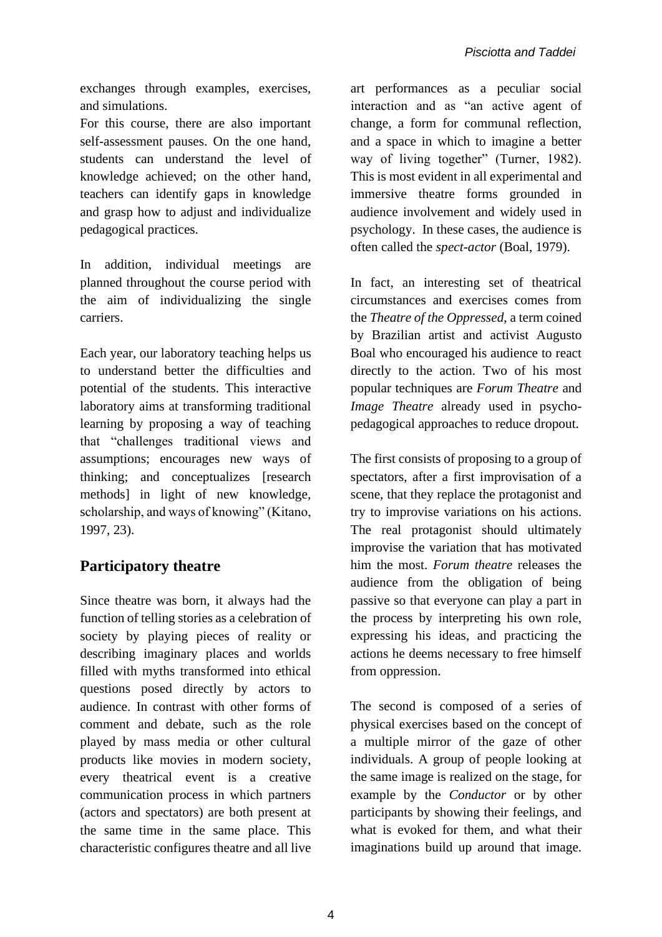exchanges through examples, exercises, and simulations.

For this course, there are also important self-assessment pauses. On the one hand, students can understand the level of knowledge achieved; on the other hand, teachers can identify gaps in knowledge and grasp how to adjust and individualize pedagogical practices.

In addition, individual meetings are planned throughout the course period with the aim of individualizing the single carriers.

Each year, our laboratory teaching helps us to understand better the difficulties and potential of the students. This interactive laboratory aims at transforming traditional learning by proposing a way of teaching that "challenges traditional views and assumptions; encourages new ways of thinking; and conceptualizes [research methods] in light of new knowledge, scholarship, and ways of knowing" (Kitano, 1997, 23).

## **Participatory theatre**

Since theatre was born, it always had the function of telling stories as a celebration of society by playing pieces of reality or describing imaginary places and worlds filled with myths transformed into ethical questions posed directly by actors to audience. In contrast with other forms of comment and debate, such as the role played by mass media or other cultural products like movies in modern society, every theatrical event is a creative communication process in which partners (actors and spectators) are both present at the same time in the same place. This characteristic configures theatre and all live art performances as a peculiar social interaction and as "an active agent of change, a form for communal reflection, and a space in which to imagine a better way of living together" (Turner, 1982). This is most evident in all experimental and immersive theatre forms grounded in audience involvement and widely used in psychology. In these cases, the audience is often called the *spect-actor* (Boal, 1979).

In fact, an interesting set of theatrical circumstances and exercises comes from the *Theatre of the Oppressed*, a term coined by Brazilian artist and activist Augusto Boal who encouraged his audience to react directly to the action. Two of his most popular techniques are *Forum Theatre* and *Image Theatre* already used in psychopedagogical approaches to reduce dropout.

The first consists of proposing to a group of spectators, after a first improvisation of a scene, that they replace the protagonist and try to improvise variations on his actions. The real protagonist should ultimately improvise the variation that has motivated him the most. *Forum theatre* releases the audience from the obligation of being passive so that everyone can play a part in the process by interpreting his own role, expressing his ideas, and practicing the actions he deems necessary to free himself from oppression.

The second is composed of a series of physical exercises based on the concept of a multiple mirror of the gaze of other individuals. A group of people looking at the same image is realized on the stage, for example by the *Conductor* or by other participants by showing their feelings, and what is evoked for them, and what their imaginations build up around that image.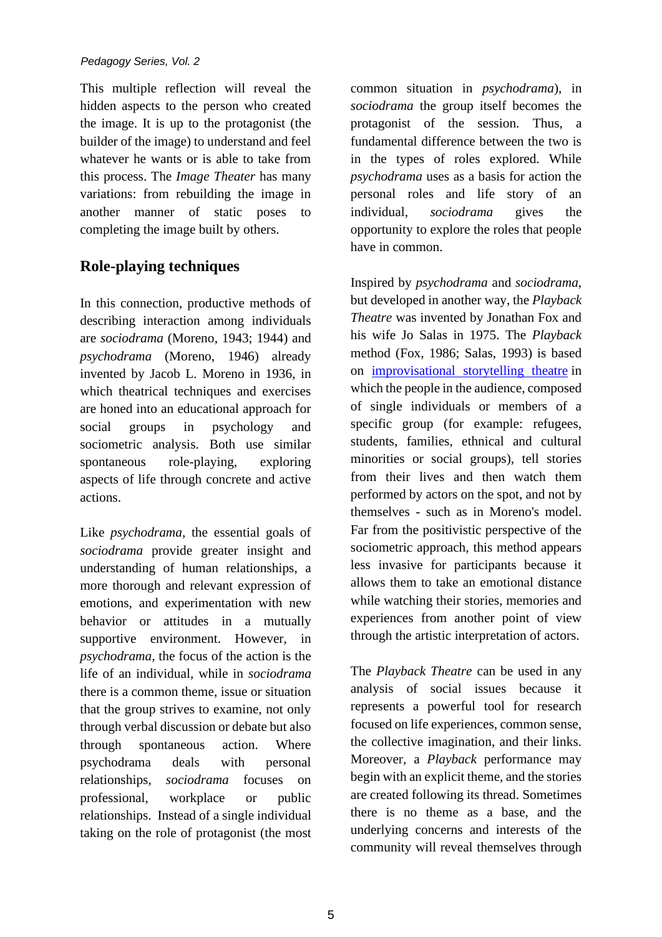This multiple reflection will reveal the hidden aspects to the person who created the image. It is up to the protagonist (the builder of the image) to understand and feel whatever he wants or is able to take from this process. The *Image Theater* has many variations: from rebuilding the image in another manner of static poses to completing the image built by others.

# **Role-playing techniques**

In this connection, productive methods of describing interaction among individuals are *sociodrama* (Moreno, 1943; 1944) and *psychodrama* (Moreno, 1946) already invented by Jacob L. Moreno in 1936, in which theatrical techniques and exercises are honed into an educational approach for social groups in psychology and sociometric analysis. Both use similar spontaneous role-playing, exploring aspects of life through concrete and active actions.

Like *psychodrama*, the essential goals of *sociodrama* provide greater insight and understanding of human relationships, a more thorough and relevant expression of emotions, and experimentation with new behavior or attitudes in a mutually supportive environment. However, in *psychodrama,* the focus of the action is the life of an individual, while in *sociodrama* there is a common theme, issue or situation that the group strives to examine, not only through verbal discussion or debate but also through spontaneous action. Where psychodrama deals with personal relationships, *sociodrama* focuses on professional, workplace or public relationships. Instead of a single individual taking on the role of protagonist (the most

common situation in *psychodrama*), in *sociodrama* the group itself becomes the protagonist of the session. Thus, a fundamental difference between the two is in the types of roles explored. While *psychodrama* uses as a basis for action the personal roles and life story of an individual, *sociodrama* gives the opportunity to explore the roles that people have in common.

Inspired by *psychodrama* and *sociodrama*, but developed in another way, the *Playback Theatre* was invented by Jonathan Fox and his wife Jo Salas in 1975. The *Playback* method (Fox, 1986; Salas, 1993) is based on [improvisational storytelling theatre](https://en.wikipedia.org/wiki/improvisational_theatre) in which the people in the audience, composed of single individuals or members of a specific group (for example: refugees, students, families, ethnical and cultural minorities or social groups), tell stories from their lives and then watch them performed by actors on the spot, and not by themselves - such as in Moreno's model. Far from the positivistic perspective of the sociometric approach, this method appears less invasive for participants because it allows them to take an emotional distance while watching their stories, memories and experiences from another point of view through the artistic interpretation of actors.

The *Playback Theatre* can be used in any analysis of social issues because it represents a powerful tool for research focused on life experiences, common sense, the collective imagination, and their links. Moreover, a *Playback* performance may begin with an explicit theme, and the stories are created following its thread. Sometimes there is no theme as a base, and the underlying concerns and interests of the community will reveal themselves through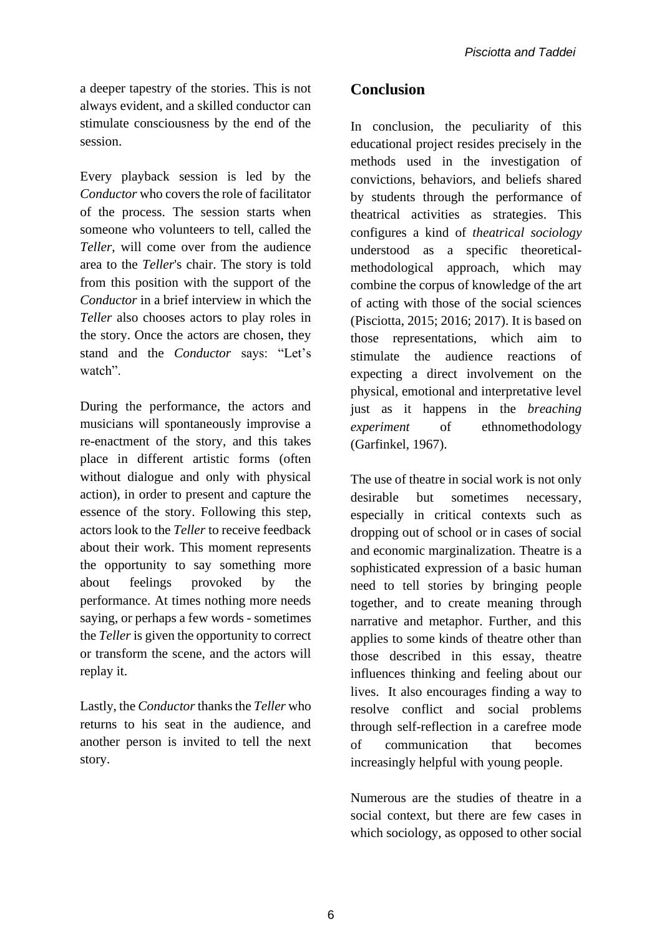a deeper tapestry of the stories. This is not always evident, and a skilled conductor can stimulate consciousness by the end of the session.

Every playback session is led by the *Conductor* who covers the role of facilitator of the process. The session starts when someone who volunteers to tell, called the *Teller*, will come over from the audience area to the *Teller*'s chair. The story is told from this position with the support of the *Conductor* in a brief interview in which the *Teller* also chooses actors to play roles in the story. Once the actors are chosen, they stand and the *Conductor* says: "Let's watch".

During the performance, the actors and musicians will spontaneously improvise a re-enactment of the story, and this takes place in different artistic forms (often without dialogue and only with physical action), in order to present and capture the essence of the story. Following this step, actors look to the *Teller* to receive feedback about their work. This moment represents the opportunity to say something more about feelings provoked by the performance. At times nothing more needs saying, or perhaps a few words - sometimes the *Teller* is given the opportunity to correct or transform the scene, and the actors will replay it.

Lastly, the *Conductor* thanks the *Teller* who returns to his seat in the audience, and another person is invited to tell the next story.

#### **Conclusion**

In conclusion, the peculiarity of this educational project resides precisely in the methods used in the investigation of convictions, behaviors, and beliefs shared by students through the performance of theatrical activities as strategies. This configures a kind of *theatrical sociology* understood as a specific theoreticalmethodological approach, which may combine the corpus of knowledge of the art of acting with those of the social sciences (Pisciotta, 2015; 2016; 2017). It is based on those representations, which aim to stimulate the audience reactions of expecting a direct involvement on the physical, emotional and interpretative level just as it happens in the *breaching experiment* of ethnomethodology (Garfinkel, 1967).

The use of theatre in social work is not only desirable but sometimes necessary, especially in critical contexts such as dropping out of school or in cases of social and economic marginalization. Theatre is a sophisticated expression of a basic human need to tell stories by bringing people together, and to create meaning through narrative and metaphor. Further, and this applies to some kinds of theatre other than those described in this essay, theatre influences thinking and feeling about our lives. It also encourages finding a way to resolve conflict and social problems through self-reflection in a carefree mode of communication that becomes increasingly helpful with young people.

Numerous are the studies of theatre in a social context, but there are few cases in which sociology, as opposed to other social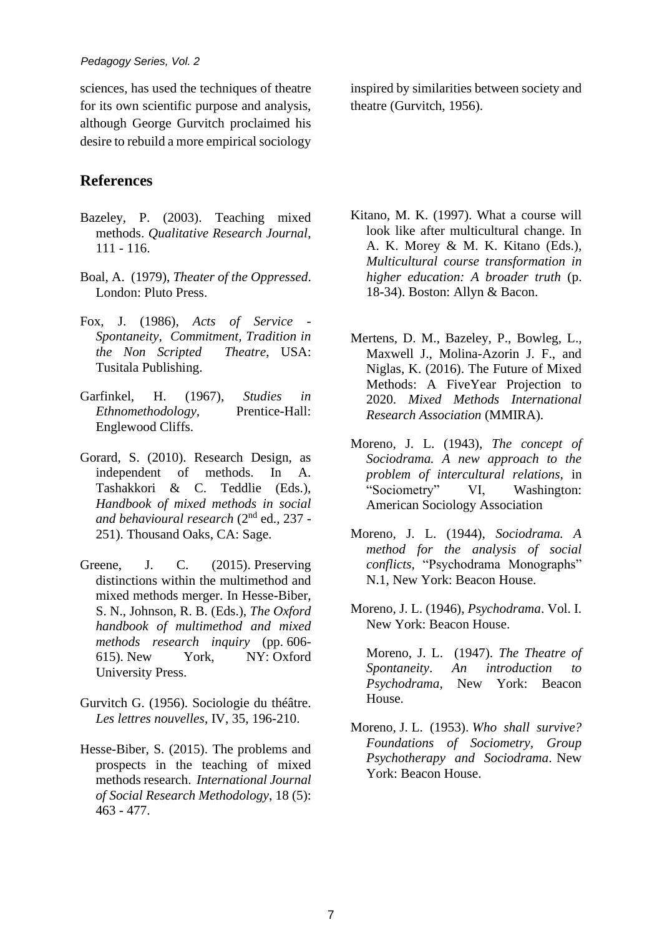sciences, has used the techniques of theatre for its own scientific purpose and analysis, although George Gurvitch proclaimed his desire to rebuild a more empirical sociology

### **References**

- Bazeley, P. (2003). Teaching mixed methods. *Qualitative Research Journal*, 111 - 116.
- Boal, A. (1979), *Theater of the Oppressed*. London: Pluto Press.
- Fox, J. (1986), *Acts of Service - Spontaneity, Commitment, Tradition in the Non Scripted Theatre*, USA: Tusitala Publishing.
- Garfinkel, H. (1967), *Studies in Ethnomethodology,* Prentice-Hall: Englewood Cliffs.
- Gorard, S. (2010). Research Design, as independent of methods. In A. Tashakkori & C. Teddlie (Eds.), *Handbook of mixed methods in social and behavioural research* (2nd ed., 237 - 251). Thousand Oaks, CA: Sage.
- Greene, J. C. (2015). Preserving distinctions within the multimethod and mixed methods merger. In Hesse-Biber, S. N., Johnson, R. B. (Eds.), *The Oxford handbook of multimethod and mixed methods research inquiry* (pp. 606- 615). New York, NY: Oxford University Press.
- Gurvitch G. (1956). Sociologie du théâtre. *Les lettres nouvelles*, IV, 35, 196-210.
- Hesse-Biber, S. (2015). The problems and prospects in the teaching of mixed methods research. *International Journal of Social Research Methodology*, 18 (5): 463 - 477.

inspired by similarities between society and theatre (Gurvitch, 1956).

- Kitano, M. K. (1997). What a course will look like after multicultural change. In A. K. Morey & M. K. Kitano (Eds.), *Multicultural course transformation in higher education: A broader truth* (p. 18-34). Boston: Allyn & Bacon.
- Mertens, D. M., Bazeley, P., Bowleg, L., Maxwell J., Molina-Azorin J. F., and Niglas, K. (2016). The Future of Mixed Methods: A FiveYear Projection to 2020. *Mixed Methods International Research Association* (MMIRA).
- Moreno, J. L. (1943), *The concept of Sociodrama. A new approach to the problem of intercultural relations,* in "Sociometry" VI, Washington: American Sociology Association
- Moreno, J. L. (1944), *Sociodrama. A method for the analysis of social conflicts,* "Psychodrama Monographs" N.1, New York: Beacon House.
- Moreno, J. L. (1946), *Psychodrama*. Vol. I. New York: Beacon House.

Moreno, J. L. (1947). *The Theatre of Spontaneity*. *An introduction to Psychodrama*, New York: Beacon House.

Moreno, J. L. (1953). *Who shall survive? Foundations of Sociometry, Group Psychotherapy and Sociodrama*. New York: Beacon House.